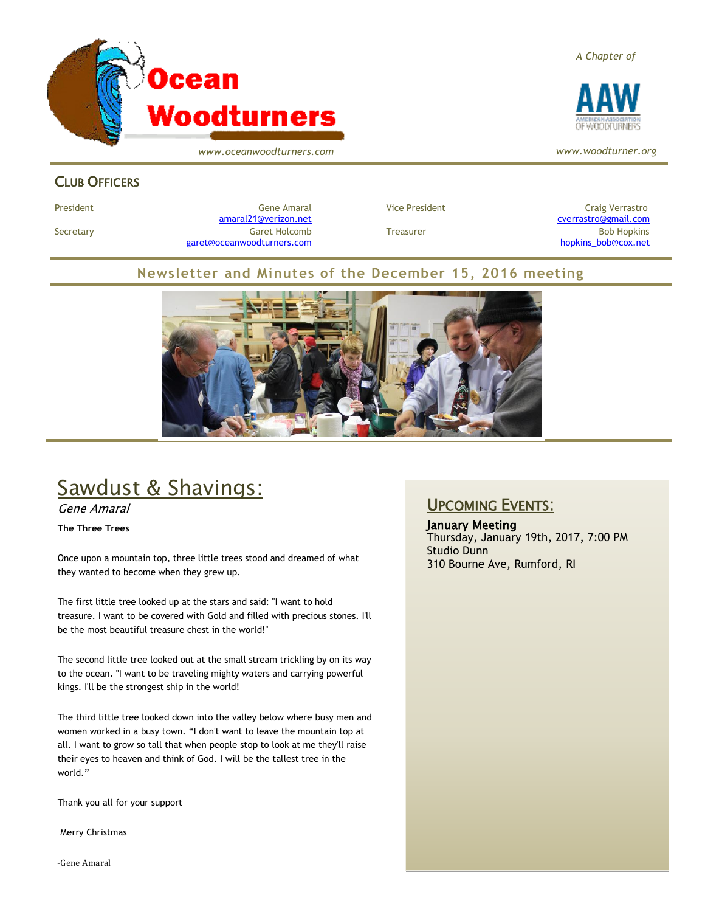

*www.oceanwoodturners.com*

#### CLUB OFFICERS

President Craig Verrastro Cene Amaral Cene Amaral Craig Verrastro Craig Verrastro [amaral21@verizon.net](mailto:amaral21@verizon.net) [cverrastro@gmail.com](mailto:cverrastro@gmail.com) Secretary Garet Holcomb Treasurer Bob Hopkins Bob Hopkins (Bob Hopkins Garet Holcomb [garet@oceanwoodturners.com](mailto:garet@oceanwoodturners.com) [hopkins\\_bob@cox.net](mailto:hopkins_bob@cox.net)

#### **Newsletter and Minutes of the December 15, 2016 meeting**



## Sawdust & Shavings:

Gene Amaral

**The Three Trees**

Once upon a mountain top, three little trees stood and dreamed of what they wanted to become when they grew up.

The first little tree looked up at the stars and said: "I want to hold treasure. I want to be covered with Gold and filled with precious stones. I'll be the most beautiful treasure chest in the world!"

The second little tree looked out at the small stream trickling by on its way to the ocean. "I want to be traveling mighty waters and carrying powerful kings. I'll be the strongest ship in the world!

The third little tree looked down into the valley below where busy men and women worked in a busy town. "I don't want to leave the mountain top at all. I want to grow so tall that when people stop to look at me they'll raise their eyes to heaven and think of God. I will be the tallest tree in the world."

Thank you all for your support

Merry Christmas

UPCOMING EVENTS:

January Meeting Thursday, January 19th, 2017, 7:00 PM Studio Dunn 310 Bourne Ave, Rumford, RI

#### *A Chapter of*



*www.woodturner.org*

-Gene Amaral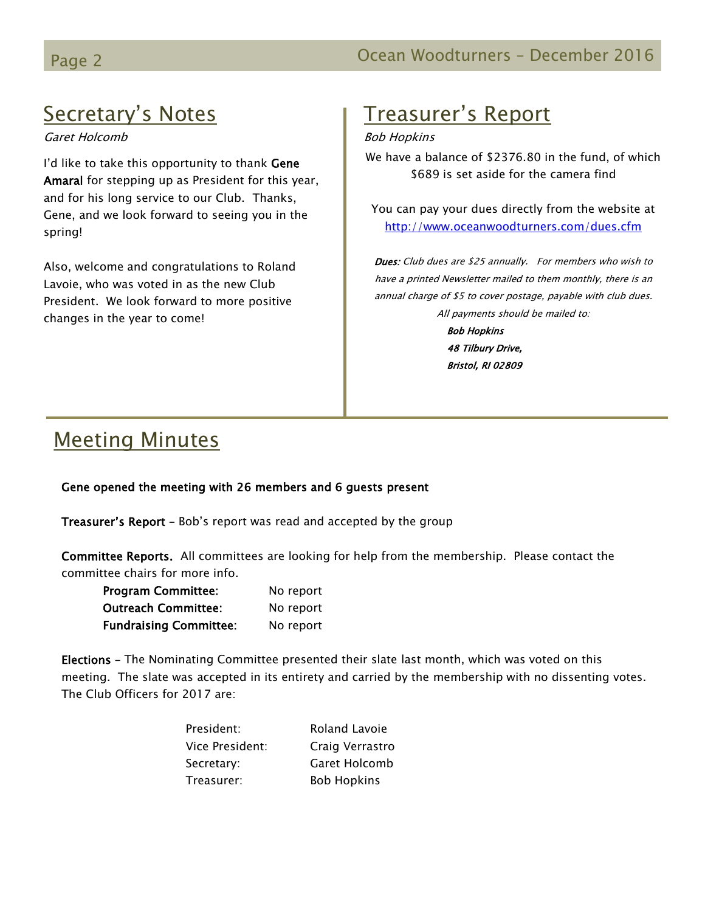## Secretary's Notes

Garet Holcomb

I'd like to take this opportunity to thank Gene Amaral for stepping up as President for this year, and for his long service to our Club. Thanks, Gene, and we look forward to seeing you in the spring!

Also, welcome and congratulations to Roland Lavoie, who was voted in as the new Club President. We look forward to more positive changes in the year to come!

## Treasurer's Report

#### Bob Hopkins

We have a balance of \$2376.80 in the fund, of which \$689 is set aside for the camera find

You can pay your dues directly from the website at <http://www.oceanwoodturners.com/dues.cfm>

Dues: Club dues are \$25 annually. For members who wish to have a printed Newsletter mailed to them monthly, there is an annual charge of \$5 to cover postage, payable with club dues. All payments should be mailed to:

> Bob Hopkins 48 Tilbury Drive, Bristol, RI 02809

### Meeting Minutes

#### Gene opened the meeting with 26 members and 6 guests present

Treasurer's Report - Bob's report was read and accepted by the group

Committee Reports. All committees are looking for help from the membership. Please contact the committee chairs for more info.

| <b>Program Committee:</b>     | No report |
|-------------------------------|-----------|
| <b>Outreach Committee:</b>    | No report |
| <b>Fundraising Committee:</b> | No report |

Elections – The Nominating Committee presented their slate last month, which was voted on this meeting. The slate was accepted in its entirety and carried by the membership with no dissenting votes. The Club Officers for 2017 are:

| President:      | Roland Lavoie      |
|-----------------|--------------------|
| Vice President: | Craig Verrastro    |
| Secretary:      | Garet Holcomb      |
| Treasurer:      | <b>Bob Hopkins</b> |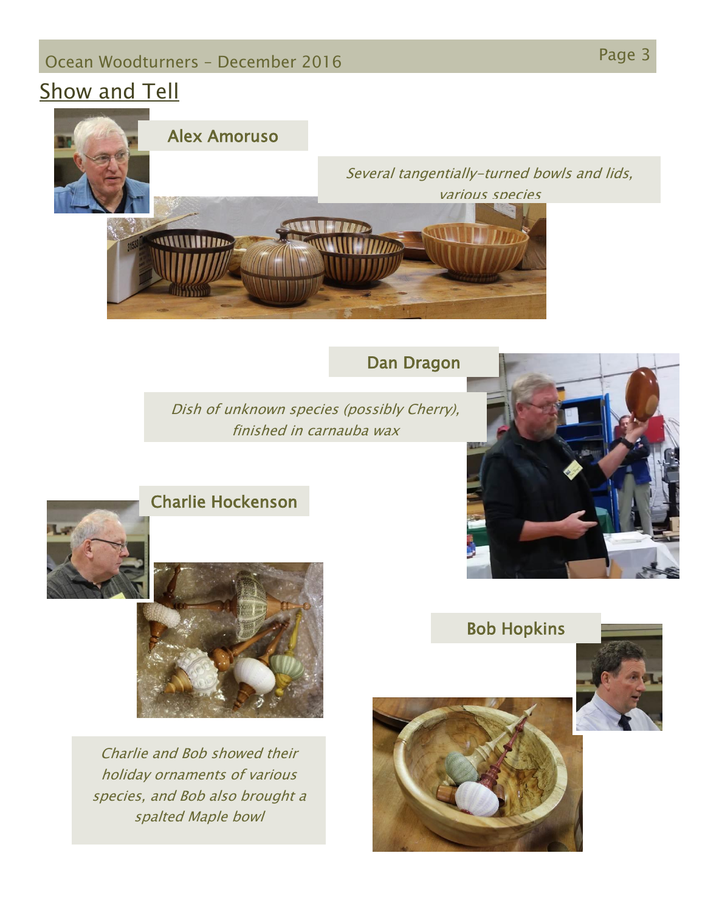# Page 3 Ocean Woodturners – December <sup>2016</sup>

### Show and Tell



Dan Dragon

Dish of unknown species (possibly Cherry), finished in carnauba wax





Charlie and Bob showed their holiday ornaments of various species, and Bob also brought <sup>a</sup> spalted Maple bowl

### Bob Hopkins



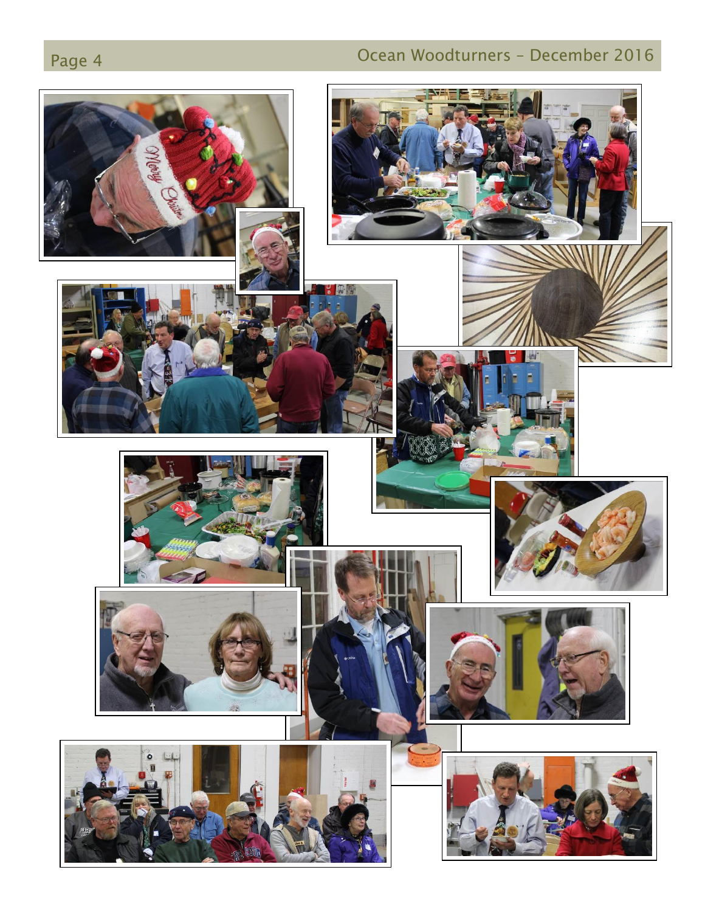# Page 4 **Ocean Woodturners – December 2016**